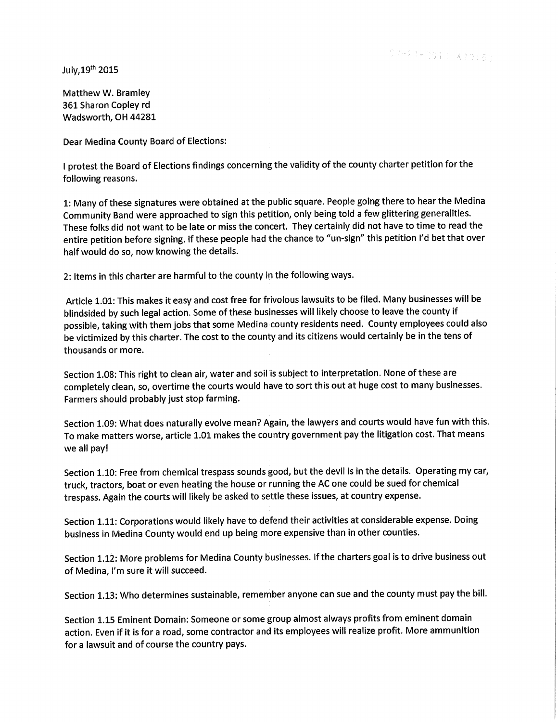July,19th 2015

Matthew W. Bramley 361 Sharon Copley rd Wadsworth, OH 44281

Dear Medina County Board of Elections:

I protest the Board of Elections findings concerning the validity of the county charter petition for the following reasons.

 $\mathrel{\mathop:}$  Many of these signatures were obtained at the public square. People going there to hear the Medina Community Band were approached to sign this petition, only being told a few glittering generalities. These folks did not want to be late or miss the concert. They certainly did not have to time to read the entire petition before signing. If these people had the chance to "un-sign" this petition I'd bet that over half would do so, now knowing the details.

: 2 Items in this charter are harmful to the county in the following ways.

Article 1.01: This makes it easy and cost free for frivolous lawsuits to be filed. Many businesses will be blindsided by such legal action. Some of these businesses will likely choose to leave the county if possible, taking with them jobs that some Medina county residents need. County employees could also be victimized by this charter. The cost to the county and its citizens would certainly be in the tens of thousands or more.

Section 1.08: This right to clean air, water and soil is subject to interpretation. None of these are completely clean, so, overtime the courts would have to sort this out at huge cost to many businesses. Farmers should probably just stop farming.

Section 1.09: What does naturally evolve mean? Again, the lawyers and courts would have fun with this. To make matters worse, article 1.01 makes the country government pay the litigation cost. That means we all pay!

Section 1.10: Free from chemical trespass sounds good, but the devil is in the details. Operating my car, truck, tractors, boat or even heating the house or running the AC one could be sued for chemical trespass. Again the courts will likely be asked to settle these issues, at country expense.

Section 1.11: Corporations would likely have to defend their activities at considerable expense. Doing business in Medina County would end up being more expensive than in other counties.

Section 1.12: More problems for Medina County businesses. If the charters goal is to drive business out of Medina, I'm sure it will succeed.

Section 1.13: Who determines sustainable, remember anyone can sue and the county must pay the bill.

Section 1.15 Eminent Domain: Someone or some group almost always profits from eminent domain action. Even if it is for a road, some contractor and its employees will realize profit. More ammunition for a lawsuit and of course the country pays.